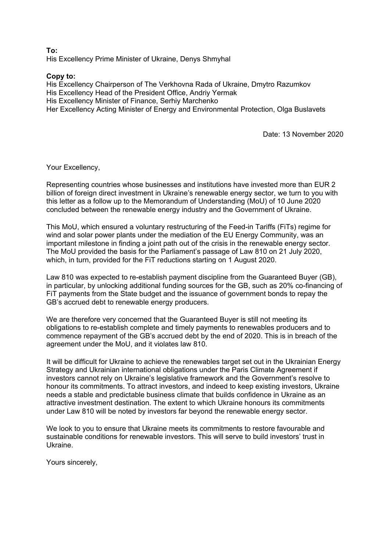**To:** His Excellency Prime Minister of Ukraine, Denys Shmyhal

## **Copy to:**

His Excellency Chairperson of The Verkhovna Rada of Ukraine, Dmytro Razumkov His Excellency Head of the President Office, Andriy Yermak His Excellency Minister of Finance, Serhiy Marchenko Her Excellency Acting Minister of Energy and Environmental Protection, Olga Buslavets

Date: 13 November 2020

Your Excellency,

Representing countries whose businesses and institutions have invested more than EUR 2 billion of foreign direct investment in Ukraine's renewable energy sector, we turn to you with this letter as a follow up to the Memorandum of Understanding (MoU) of 10 June 2020 concluded between the renewable energy industry and the Government of Ukraine.

This MoU, which ensured a voluntary restructuring of the Feed-in Tariffs (FiTs) regime for wind and solar power plants under the mediation of the EU Energy Community, was an important milestone in finding a joint path out of the crisis in the renewable energy sector. The MoU provided the basis for the Parliament's passage of Law 810 on 21 July 2020, which, in turn, provided for the FiT reductions starting on 1 August 2020.

Law 810 was expected to re-establish payment discipline from the Guaranteed Buyer (GB), in particular, by unlocking additional funding sources for the GB, such as 20% co-financing of FiT payments from the State budget and the issuance of government bonds to repay the GB's accrued debt to renewable energy producers.

We are therefore very concerned that the Guaranteed Buyer is still not meeting its obligations to re-establish complete and timely payments to renewables producers and to commence repayment of the GB's accrued debt by the end of 2020. This is in breach of the agreement under the MoU, and it violates law 810.

It will be difficult for Ukraine to achieve the renewables target set out in the Ukrainian Energy Strategy and Ukrainian international obligations under the Paris Climate Agreement if investors cannot rely on Ukraine's legislative framework and the Government's resolve to honour its commitments. To attract investors, and indeed to keep existing investors, Ukraine needs a stable and predictable business climate that builds confidence in Ukraine as an attractive investment destination. The extent to which Ukraine honours its commitments under Law 810 will be noted by investors far beyond the renewable energy sector.

We look to you to ensure that Ukraine meets its commitments to restore favourable and sustainable conditions for renewable investors. This will serve to build investors' trust in Ukraine.

Yours sincerely,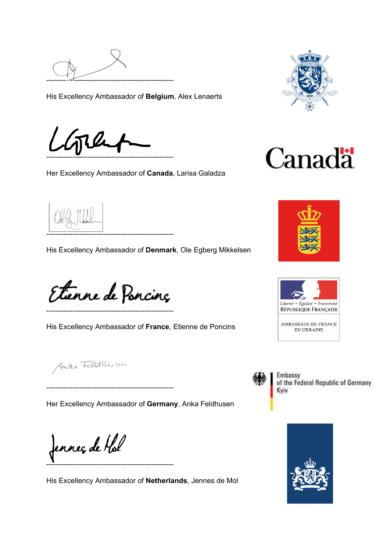

His Excellency Ambassador of **Belgium**, Alex Lenaerts

-----------------------------------------------------

Her Excellency Ambassador of **Canada**, Larisa Galadza

-----------------------------------------------------

His Excellency Ambassador of **Denmark**, Ole Egberg Mikkelsen

Etienne de Poncinç

-----------------------------------------------------

-----------------------------------------------------

His Excellency Ambassador of **France**, Etienne de Poncins

Aura Feldlusen

Her Excellency Ambassador of **Germany**, Anka Feldhusen

Jennes de Hol

His Excellency Ambassador of **Netherlands**, Jennes de Mol









EN UKRAINE



Embassy of the Federal Republic of Germany Kyiv